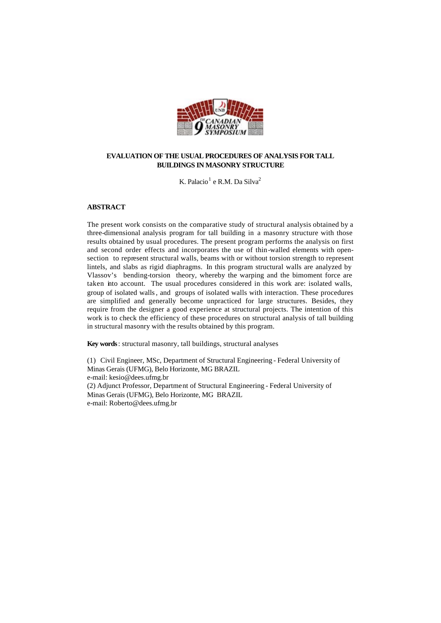

# **EVALUATION OF THE USUAL PROCEDURES OF ANALYSIS FOR TALL BUILDINGS IN MASONRY STRUCTURE**

K. Palacio $^1$  e R.M. Da Silva $^2$ 

# **ABSTRACT**

The present work consists on the comparative study of structural analysis obtained by a three-dimensional analysis program for tall building in a masonry structure with those results obtained by usual procedures. The present program performs the analysis on first and second order effects and incorporates the use of thin-walled elements with opensection to represent structural walls, beams with or without torsion strength to represent lintels, and slabs as rigid diaphragms. In this program structural walls are analyzed by Vlassov's bending-torsion theory, whereby the warping and the bimoment force are taken into account. The usual procedures considered in this work are: isolated walls, group of isolated walls, and groups of isolated walls with interaction. These procedures are simplified and generally become unpracticed for large structures. Besides, they require from the designer a good experience at structural projects. The intention of this work is to check the efficiency of these procedures on structural analysis of tall building in structural masonry with the results obtained by this program.

**Key words**: structural masonry, tall buildings, structural analyses

(1) Civil Engineer, MSc, Department of Structural Engineering - Federal University of Minas Gerais (UFMG), Belo Horizonte, MG BRAZIL e-mail: kesio@dees.ufmg.br (2) Adjunct Professor, Department of Structural Engineering - Federal University of Minas Gerais (UFMG), Belo Horizonte, MG BRAZIL e-mail: Roberto@dees.ufmg.br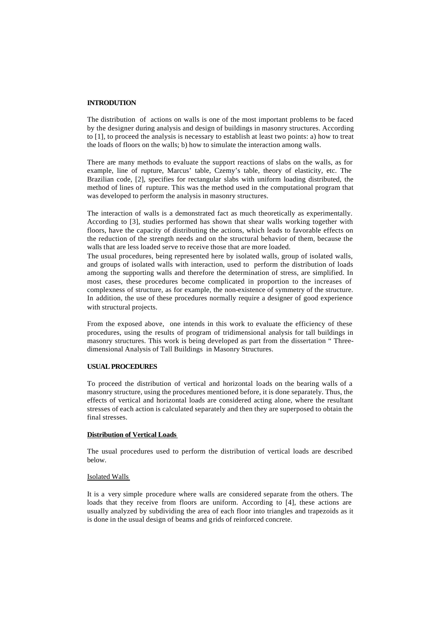## **INTRODUTION**

The distribution of actions on walls is one of the most important problems to be faced by the designer during analysis and design of buildings in masonry structures. According to [1], to proceed the analysis is necessary to establish at least two points: a) how to treat the loads of floors on the walls; b) how to simulate the interaction among walls.

There are many methods to evaluate the support reactions of slabs on the walls, as for example, line of rupture, Marcus' table, Czemy's table, theory of elasticity, etc. The Brazilian code, [2], specifies for rectangular slabs with uniform loading distributed, the method of lines of rupture. This was the method used in the computational program that was developed to perform the analysis in masonry structures.

The interaction of walls is a demonstrated fact as much theoretically as experimentally. According to [3], studies performed has shown that shear walls working together with floors, have the capacity of distributing the actions, which leads to favorable effects on the reduction of the strength needs and on the structural behavior of them, because the walls that are less loaded serve to receive those that are more loaded.

The usual procedures, being represented here by isolated walls, group of isolated walls, and groups of isolated walls with interaction, used to perform the distribution of loads among the supporting walls and therefore the determination of stress, are simplified. In most cases, these procedures become complicated in proportion to the increases of complexness of structure, as for example, the non-existence of symmetry of the structure. In addition, the use of these procedures normally require a designer of good experience with structural projects.

From the exposed above, one intends in this work to evaluate the efficiency of these procedures, using the results of program of tridimensional analysis for tall buildings in masonry structures. This work is being developed as part from the dissertation " Threedimensional Analysis of Tall Buildings in Masonry Structures.

### **USUAL PROCEDURES**

To proceed the distribution of vertical and horizontal loads on the bearing walls of a masonry structure, using the procedures mentioned before, it is done separately. Thus, the effects of vertical and horizontal loads are considered acting alone, where the resultant stresses of each action is calculated separately and then they are superposed to obtain the final stresses.

# **Distribution of Vertical Loads**

The usual procedures used to perform the distribution of vertical loads are described below.

### Isolated Walls

It is a very simple procedure where walls are considered separate from the others. The loads that they receive from floors are uniform. According to [4], these actions are usually analyzed by subdividing the area of each floor into triangles and trapezoids as it is done in the usual design of beams and grids of reinforced concrete.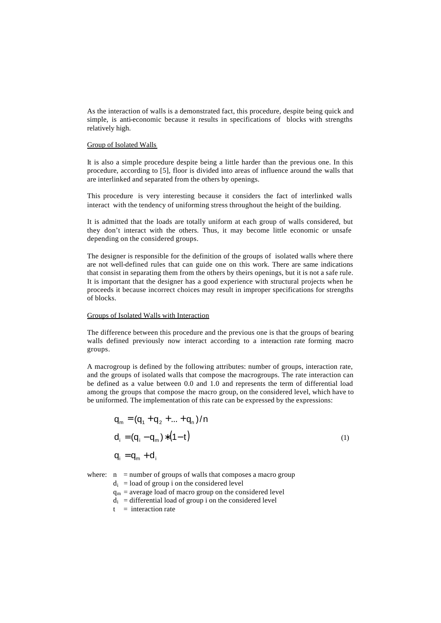As the interaction of walls is a demonstrated fact, this procedure, despite being quick and simple, is anti-economic because it results in specifications of blocks with strengths relatively high.

## Group of Isolated Walls

It is also a simple procedure despite being a little harder than the previous one. In this procedure, according to [5], floor is divided into areas of influence around the walls that are interlinked and separated from the others by openings.

This procedure is very interesting because it considers the fact of interlinked walls interact with the tendency of uniforming stress throughout the height of the building.

It is admitted that the loads are totally uniform at each group of walls considered, but they don't interact with the others. Thus, it may become little economic or unsafe depending on the considered groups.

The designer is responsible for the definition of the groups of isolated walls where there are not well-defined rules that can guide one on this work. There are same indications that consist in separating them from the others by theirs openings, but it is not a safe rule. It is important that the designer has a good experience with structural projects when he proceeds it because incorrect choices may result in improper specifications for strengths of blocks.

#### Groups of Isolated Walls with Interaction

The difference between this procedure and the previous one is that the groups of bearing walls defined previously now interact according to a interaction rate forming macro groups.

A macrogroup is defined by the following attributes: number of groups, interaction rate, and the groups of isolated walls that compose the macrogroups. The rate interaction can be defined as a value between 0.0 and 1.0 and represents the term of differential load among the groups that compose the macro group, on the considered level, which have to be uniformed. The implementation of this rate can be expressed by the expressions:

$$
q_{m} = (q_{1} + q_{2} + ... + q_{n})/n
$$
  
\n
$$
d_{i} = (q_{i} - q_{m}) * (1 - t)
$$
  
\n
$$
q_{i} = q_{m} + d_{i}
$$
 (1)

- where:  $n =$  number of groups of walls that composes a macro group
	- $d_i$  = load of group i on the considered level
	- $q_m$  = average load of macro group on the considered level
	- $d_i$  = differential load of group i on the considered level
	- $t =$  interaction rate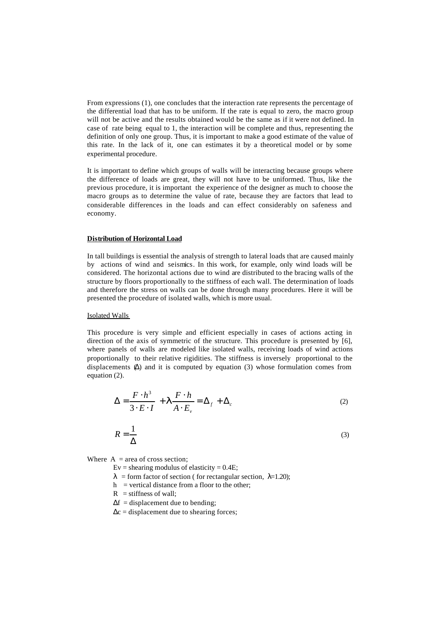From expressions (1), one concludes that the interaction rate represents the percentage of the differential load that has to be uniform. If the rate is equal to zero, the macro group will not be active and the results obtained would be the same as if it were not defined. In case of rate being equal to 1, the interaction will be complete and thus, representing the definition of only one group. Thus, it is important to make a good estimate of the value of this rate. In the lack of it, one can estimates it by a theoretical model or by some experimental procedure.

It is important to define which groups of walls will be interacting because groups where the difference of loads are great, they will not have to be uniformed. Thus, like the previous procedure, it is important the experience of the designer as much to choose the macro groups as to determine the value of rate, because they are factors that lead to considerable differences in the loads and can effect considerably on safeness and economy.

## **Distribution of Horizontal Load**

In tall buildings is essential the analysis of strength to lateral loads that are caused mainly by actions of wind and seismics. In this work, for example, only wind loads will be considered. The horizontal actions due to wind are distributed to the bracing walls of the structure by floors proportionally to the stiffness of each wall. The determination of loads and therefore the stress on walls can be done through many procedures. Here it will be presented the procedure of isolated walls, which is more usual.

#### Isolated Walls

This procedure is very simple and efficient especially in cases of actions acting in direction of the axis of symmetric of the structure. This procedure is presented by [6], where panels of walls are modeled like isolated walls, receiving loads of wind actions proportionally to their relative rigidities. The stiffness is inversely proportional to the displacements  $(\Delta)$  and it is computed by equation (3) whose formulation comes from equation (2).

$$
\Delta = \frac{F \cdot h^3}{3 \cdot E \cdot I} + \mathbf{I} \frac{F \cdot h}{A \cdot E_v} = \Delta_f + \Delta_c \tag{2}
$$

$$
R = \frac{1}{\Delta} \tag{3}
$$

Where  $A = \text{area of cross section}$ :

Ev = shearing modulus of elasticity =  $0.4E$ ;

- $\lambda$  = form factor of section ( for rectangular section,  $\lambda$ =1.20);
- $h$  = vertical distance from a floor to the other;
- $R$  = stiffness of wall;
- $\Delta f$  = displacement due to bending;
- $\Delta c =$  displacement due to shearing forces;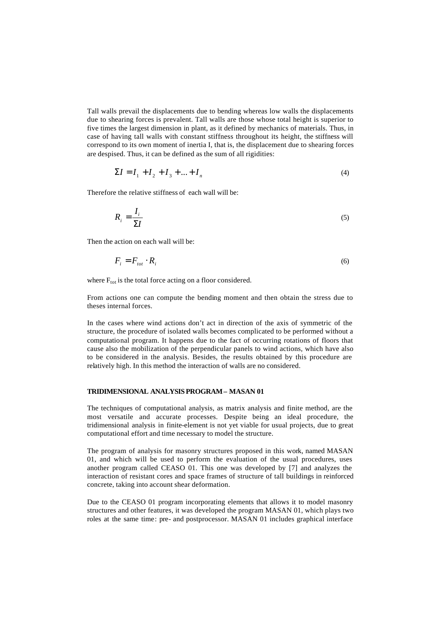Tall walls prevail the displacements due to bending whereas low walls the displacements due to shearing forces is prevalent. Tall walls are those whose total height is superior to five times the largest dimension in plant, as it defined by mechanics of materials. Thus, in case of having tall walls with constant stiffness throughout its height, the stiffness will correspond to its own moment of inertia I, that is, the displacement due to shearing forces are despised. Thus, it can be defined as the sum of all rigidities:

$$
\Sigma I = I_1 + I_2 + I_3 + \dots + I_n \tag{4}
$$

Therefore the relative stiffness of each wall will be:

$$
R_i = \frac{I_i}{\Sigma I} \tag{5}
$$

Then the action on each wall will be:

$$
F_i = F_{tot} \cdot R_i \tag{6}
$$

where  $F_{\text{tot}}$  is the total force acting on a floor considered.

From actions one can compute the bending moment and then obtain the stress due to theses internal forces.

In the cases where wind actions don't act in direction of the axis of symmetric of the structure, the procedure of isolated walls becomes complicated to be performed without a computational program. It happens due to the fact of occurring rotations of floors that cause also the mobilization of the perpendicular panels to wind actions, which have also to be considered in the analysis. Besides, the results obtained by this procedure are relatively high. In this method the interaction of walls are no considered.

### **TRIDIMENSIONAL ANALYSIS PROGRAM– MASAN 01**

The techniques of computational analysis, as matrix analysis and finite method, are the most versatile and accurate processes. Despite being an ideal procedure, the tridimensional analysis in finite-element is not yet viable for usual projects, due to great computational effort and time necessary to model the structure.

The program of analysis for masonry structures proposed in this work, named MASAN 01, and which will be used to perform the evaluation of the usual procedures, uses another program called CEASO 01. This one was developed by [7] and analyzes the interaction of resistant cores and space frames of structure of tall buildings in reinforced concrete, taking into account shear deformation.

Due to the CEASO 01 program incorporating elements that allows it to model masonry structures and other features, it was developed the program MASAN 01, which plays two roles at the same time: pre- and postprocessor. MASAN 01 includes graphical interface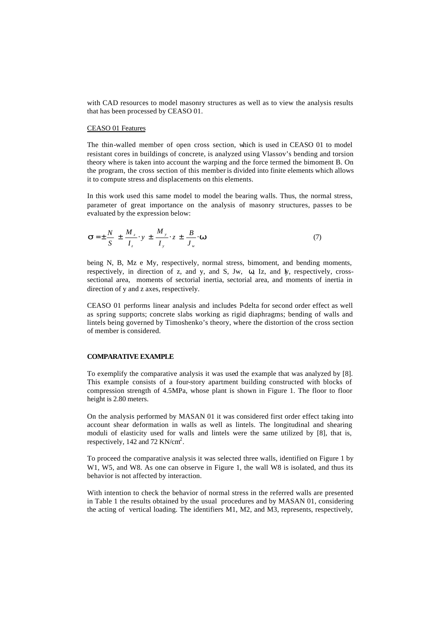with CAD resources to model masonry structures as well as to view the analysis results that has been processed by CEASO 01.

### CEASO 01 Features

The thin-walled member of open cross section, which is used in CEASO 01 to model resistant cores in buildings of concrete, is analyzed using Vlassov's bending and torsion theory where is taken into account the warping and the force termed the bimoment B. On the program, the cross section of this member is divided into finite elements which allows it to compute stress and displacements on this elements.

In this work used this same model to model the bearing walls. Thus, the normal stress, parameter of great importance on the analysis of masonry structures, passes to be evaluated by the expression below:

$$
\mathbf{S} = \pm \frac{N}{S} \pm \frac{M_z}{I_z} \cdot y \pm \frac{M_y}{I_y} \cdot z \pm \frac{B}{J_w} \cdot \mathbf{W}
$$
 (7)

being N, B, Mz e My, respectively, normal stress, bimoment, and bending moments, respectively, in direction of z, and y, and S, Jw,  $\omega$ , Iz, and Iy, respectively, crosssectional area, moments of sectorial inertia, sectorial area, and moments of inertia in direction of y and z axes, respectively.

CEASO 01 performs linear analysis and includes P-delta for second order effect as well as spring supports; concrete slabs working as rigid diaphragms; bending of walls and lintels being governed by Timoshenko's theory, where the distortion of the cross section of member is considered.

#### **COMPARATIVE EXAMPLE**

To exemplify the comparative analysis it was used the example that was analyzed by [8]. This example consists of a four-story apartment building constructed with blocks of compression strength of 4.5MPa, whose plant is shown in Figure 1. The floor to floor height is 2.80 meters.

On the analysis performed by MASAN 01 it was considered first order effect taking into account shear deformation in walls as well as lintels. The longitudinal and shearing moduli of elasticity used for walls and lintels were the same utilized by [8], that is, respectively, 142 and 72 KN/cm<sup>2</sup>.

To proceed the comparative analysis it was selected three walls, identified on Figure 1 by W1, W5, and W8. As one can observe in Figure 1, the wall W8 is isolated, and thus its behavior is not affected by interaction.

With intention to check the behavior of normal stress in the referred walls are presented in Table 1 the results obtained by the usual procedures and by MASAN 01, considering the acting of vertical loading. The identifiers M1, M2, and M3, represents, respectively,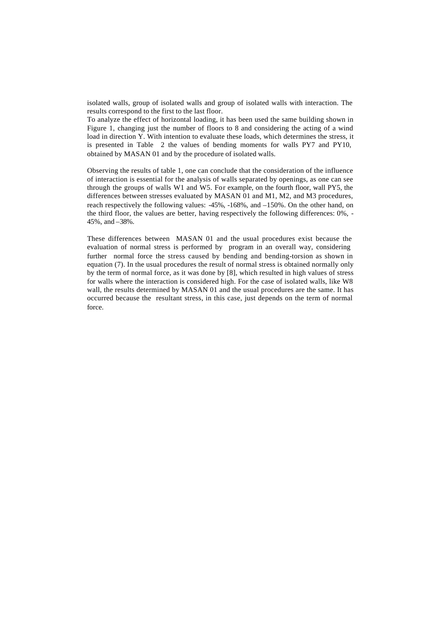isolated walls, group of isolated walls and group of isolated walls with interaction. The results correspond to the first to the last floor.

To analyze the effect of horizontal loading, it has been used the same building shown in Figure 1, changing just the number of floors to 8 and considering the acting of a wind load in direction Y. With intention to evaluate these loads, which determines the stress, it is presented in Table 2 the values of bending moments for walls PY7 and PY10, obtained by MASAN 01 and by the procedure of isolated walls.

Observing the results of table 1, one can conclude that the consideration of the influence of interaction is essential for the analysis of walls separated by openings, as one can see through the groups of walls W1 and W5. For example, on the fourth floor, wall PY5, the differences between stresses evaluated by MASAN 01 and M1, M2, and M3 procedures, reach respectively the following values: -45%, -168%, and –150%. On the other hand, on the third floor, the values are better, having respectively the following differences: 0%, - 45%, and –38%.

These differences between MASAN 01 and the usual procedures exist because the evaluation of normal stress is performed by program in an overall way, considering further normal force the stress caused by bending and bending-torsion as shown in equation (7). In the usual procedures the result of normal stress is obtained normally only by the term of normal force, as it was done by [8], which resulted in high values of stress for walls where the interaction is considered high. For the case of isolated walls, like W8 wall, the results determined by MASAN 01 and the usual procedures are the same. It has occurred because the resultant stress, in this case, just depends on the term of normal force.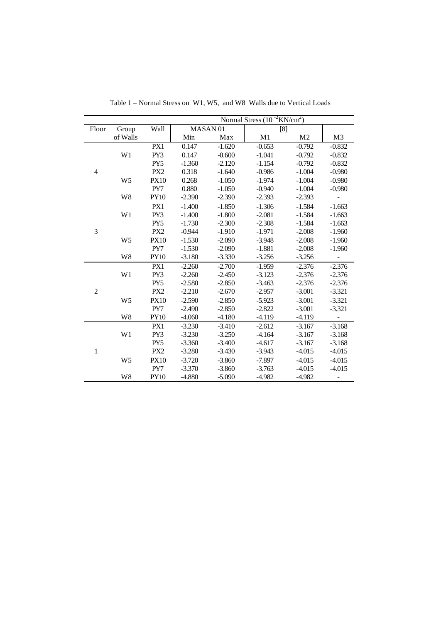|                |                |                 | Normal Stress $(10^{-2}$ KN/cm <sup>2</sup> ) |          |          |                |                |
|----------------|----------------|-----------------|-----------------------------------------------|----------|----------|----------------|----------------|
| Floor          | Group          | Wall            | MASAN <sub>01</sub>                           |          | [8]      |                |                |
|                | of Walls       |                 | Min                                           | Max      | M1       | M <sub>2</sub> | M <sub>3</sub> |
| $\overline{4}$ |                | PX1             | 0.147                                         | $-1.620$ | $-0.653$ | $-0.792$       | $-0.832$       |
|                | W <sub>1</sub> | PY3             | 0.147                                         | $-0.600$ | $-1.041$ | $-0.792$       | $-0.832$       |
|                |                | PY5             | $-1.360$                                      | $-2.120$ | $-1.154$ | $-0.792$       | $-0.832$       |
|                |                | PX <sub>2</sub> | 0.318                                         | $-1.640$ | $-0.986$ | $-1.004$       | $-0.980$       |
|                | W <sub>5</sub> | <b>PX10</b>     | 0.268                                         | $-1.050$ | $-1.974$ | $-1.004$       | $-0.980$       |
|                |                | PY7             | 0.880                                         | $-1.050$ | $-0.940$ | $-1.004$       | $-0.980$       |
|                | W8             | <b>PY10</b>     | $-2.390$                                      | $-2.390$ | $-2.393$ | $-2.393$       | ÷,             |
| 3              |                | PX1             | $-1.400$                                      | $-1.850$ | $-1.306$ | $-1.584$       | $-1.663$       |
|                | W1             | PY3             | $-1.400$                                      | $-1.800$ | $-2.081$ | $-1.584$       | $-1.663$       |
|                |                | PY <sub>5</sub> | $-1.730$                                      | $-2.300$ | $-2.308$ | $-1.584$       | $-1.663$       |
|                |                | PX <sub>2</sub> | $-0.944$                                      | $-1.910$ | $-1.971$ | $-2.008$       | $-1.960$       |
|                | W <sub>5</sub> | <b>PX10</b>     | $-1.530$                                      | $-2.090$ | $-3.948$ | $-2.008$       | $-1.960$       |
|                |                | PY7             | $-1.530$                                      | $-2.090$ | $-1.881$ | $-2.008$       | $-1.960$       |
|                | W8             | <b>PY10</b>     | $-3.180$                                      | $-3.330$ | $-3.256$ | $-3.256$       |                |
| $\overline{c}$ |                | PX1             | $-2.260$                                      | $-2.700$ | $-1.959$ | $-2.376$       | $-2.376$       |
|                | W1             | PY3             | $-2.260$                                      | $-2.450$ | $-3.123$ | $-2.376$       | $-2.376$       |
|                |                | PY <sub>5</sub> | $-2.580$                                      | $-2.850$ | $-3.463$ | $-2.376$       | $-2.376$       |
|                |                | PX <sub>2</sub> | $-2.210$                                      | $-2.670$ | $-2.957$ | $-3.001$       | $-3.321$       |
|                | W <sub>5</sub> | <b>PX10</b>     | $-2.590$                                      | $-2.850$ | $-5.923$ | $-3.001$       | $-3.321$       |
|                |                | PY7             | $-2.490$                                      | $-2.850$ | $-2.822$ | $-3.001$       | $-3.321$       |
|                | W8             | <b>PY10</b>     | $-4.060$                                      | $-4.180$ | -4.119   | $-4.119$       |                |
| $\mathbf{1}$   |                | PX1             | $-3.230$                                      | $-3.410$ | $-2.612$ | $-3.167$       | $-3.168$       |
|                | W1             | PY3             | $-3.230$                                      | $-3.250$ | $-4.164$ | $-3.167$       | $-3.168$       |
|                |                | PY5             | $-3.360$                                      | $-3.400$ | $-4.617$ | $-3.167$       | $-3.168$       |
|                |                | PX <sub>2</sub> | $-3.280$                                      | $-3.430$ | $-3.943$ | $-4.015$       | $-4.015$       |
|                | W <sub>5</sub> | <b>PX10</b>     | $-3.720$                                      | $-3.860$ | $-7.897$ | $-4.015$       | $-4.015$       |
|                |                | PY7             | $-3.370$                                      | $-3.860$ | $-3.763$ | $-4.015$       | $-4.015$       |
|                | W <sub>8</sub> | <b>PY10</b>     | $-4.880$                                      | $-5.090$ | $-4.982$ | $-4.982$       | ۰              |

Table 1 – Normal Stress on W1, W5, and W8 Walls due to Vertical Loads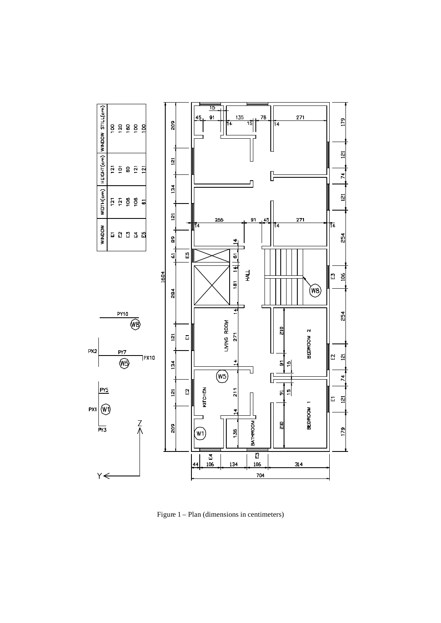

Figure 1 – Plan (dimensions in centimeters)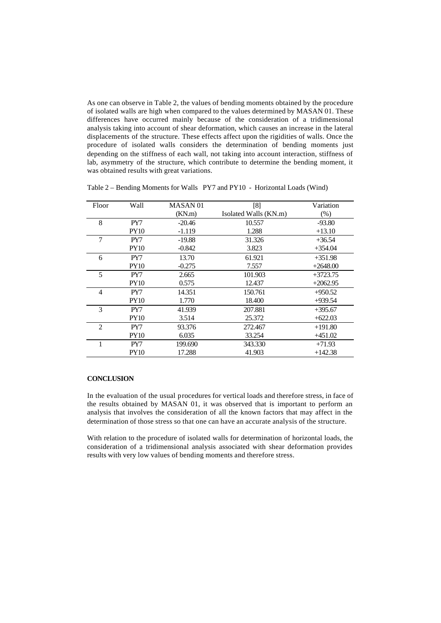As one can observe in Table 2, the values of bending moments obtained by the procedure of isolated walls are high when compared to the values determined by MASAN 01. These differences have occurred mainly because of the consideration of a tridimensional analysis taking into account of shear deformation, which causes an increase in the lateral displacements of the structure. These effects affect upon the rigidities of walls. Once the procedure of isolated walls considers the determination of bending moments just depending on the stiffness of each wall, not taking into account interaction, stiffness of lab, asymmetry of the structure, which contribute to determine the bending moment, it was obtained results with great variations.

| Floor          | Wall        | MASAN <sub>01</sub> | [8]                   | Variation  |
|----------------|-------------|---------------------|-----------------------|------------|
|                |             | (KN.m)              | Isolated Walls (KN.m) | $(\%)$     |
| 8              | PY7         | $-20.46$            | 10.557                | $-93.80$   |
|                | <b>PY10</b> | $-1.119$            | 1.288                 | $+13.10$   |
| 7              | PY7         | $-19.88$            | 31.326                | $+36.54$   |
|                | <b>PY10</b> | $-0.842$            | 3.823                 | $+354.04$  |
| 6              | PY7         | 13.70               | 61.921                | $+351.98$  |
|                | <b>PY10</b> | $-0.275$            | 7.557                 | $+2648.00$ |
| 5              | PY7         | 2.665               | 101.903               | $+3723.75$ |
|                | <b>PY10</b> | 0.575               | 12.437                | $+2062.95$ |
| 4              | PY7         | 14.351              | 150.761               | $+950.52$  |
|                | <b>PY10</b> | 1.770               | 18.400                | $+939.54$  |
| 3              | PY7         | 41.939              | 207.881               | $+395.67$  |
|                | <b>PY10</b> | 3.514               | 25.372                | $+622.03$  |
| $\overline{2}$ | PY7         | 93.376              | 272.467               | $+191.80$  |
|                | <b>PY10</b> | 6.035               | 33.254                | $+451.02$  |
|                | PY7         | 199.690             | 343.330               | $+71.93$   |
|                | <b>PY10</b> | 17.288              | 41.903                | $+142.38$  |

Table 2 – Bending Moments for Walls PY7 and PY10 - Horizontal Loads (Wind)

## **CONCLUSION**

In the evaluation of the usual procedures for vertical loads and therefore stress, in face of the results obtained by MASAN 01, it was observed that is important to perform an analysis that involves the consideration of all the known factors that may affect in the determination of those stress so that one can have an accurate analysis of the structure.

With relation to the procedure of isolated walls for determination of horizontal loads, the consideration of a tridimensional analysis associated with shear deformation provides results with very low values of bending moments and therefore stress.